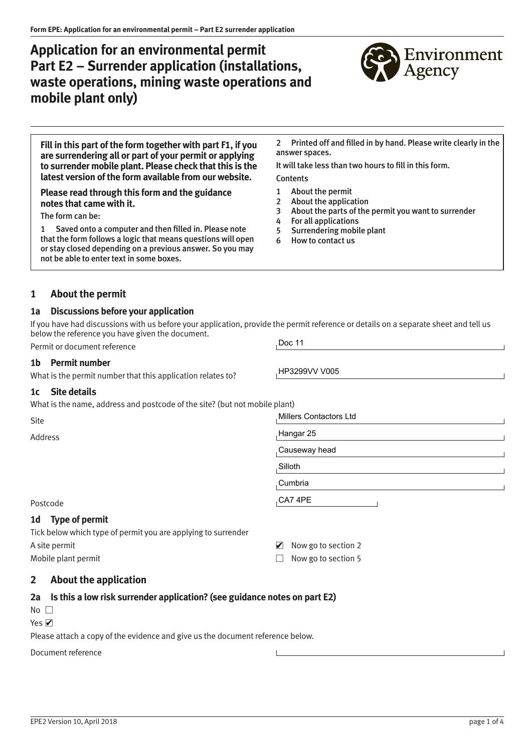# **Application for an environmental permit Part E2 – Surrender application (installations, waste operations, mining waste operations and mobile plant only)**



|                                                                                                       | Fill in this part of the form together with part F1, if you<br>are surrendering all or part of your permit or applying<br>to surrender mobile plant. Please check that this is the<br>latest version of the form available from our website.                                                                                          |                                         | Printed off and filled in by hand. Please write clearly in th<br>$\mathbf{2}$<br>answer spaces.<br>It will take less than two hours to fill in this form.<br><b>Contents</b> |  |  |  |
|-------------------------------------------------------------------------------------------------------|---------------------------------------------------------------------------------------------------------------------------------------------------------------------------------------------------------------------------------------------------------------------------------------------------------------------------------------|-----------------------------------------|------------------------------------------------------------------------------------------------------------------------------------------------------------------------------|--|--|--|
|                                                                                                       | Please read through this form and the guidance<br>notes that came with it.<br>The form can be:<br>Saved onto a computer and then filled in. Please note<br>1<br>that the form follows a logic that means questions will open<br>or stay closed depending on a previous answer. So you may<br>not be able to enter text in some boxes. | 1<br>$\overline{2}$<br>3<br>4<br>5<br>6 | About the permit<br>About the application<br>About the parts of the permit you want to surrender<br>For all applications<br>Surrendering mobile plant<br>How to contact us   |  |  |  |
|                                                                                                       | About the permit<br>$\mathbf{1}$                                                                                                                                                                                                                                                                                                      |                                         |                                                                                                                                                                              |  |  |  |
|                                                                                                       | <b>Discussions before your application</b><br>1a<br>If you have had discussions with us before your application, provide the permit reference or details on a separate sheet and tell us<br>below the reference you have given the document.<br>Permit or document reference                                                          |                                         | Doc 11                                                                                                                                                                       |  |  |  |
| <b>Permit number</b><br>1 <sub>b</sub><br>What is the permit number that this application relates to? |                                                                                                                                                                                                                                                                                                                                       | HP3299VV V005                           |                                                                                                                                                                              |  |  |  |
|                                                                                                       | <b>Site details</b><br>1c<br>What is the name, address and postcode of the site? (but not mobile plant)                                                                                                                                                                                                                               |                                         | Millers Contactors Ltd                                                                                                                                                       |  |  |  |
| Site<br>Address                                                                                       |                                                                                                                                                                                                                                                                                                                                       |                                         | Hangar 25                                                                                                                                                                    |  |  |  |
|                                                                                                       |                                                                                                                                                                                                                                                                                                                                       | Causeway head                           |                                                                                                                                                                              |  |  |  |
|                                                                                                       |                                                                                                                                                                                                                                                                                                                                       | Silloth                                 |                                                                                                                                                                              |  |  |  |
|                                                                                                       |                                                                                                                                                                                                                                                                                                                                       |                                         | Cumbria                                                                                                                                                                      |  |  |  |
|                                                                                                       | Postcode                                                                                                                                                                                                                                                                                                                              |                                         | CA7 4PE                                                                                                                                                                      |  |  |  |

# **1d Type of permit**

Tick below which type of permit you are applying to surrender A site permit  $\blacksquare$  Now go to section 2 Mobile plant permit  $\Box$  Now go to section 5

# **2 About the application**

# **2a Is this a low risk surrender application? (see guidance notes on part E2)**

 $No$ 

## Yes **⊘**

Please attach a copy of the evidence and give us the document reference below.

Document reference

# early in the

 $\mathcal{L}$ 

 $\mathcal{L}^{\text{max}}_{\text{max}}$  and  $\mathcal{L}^{\text{max}}_{\text{max}}$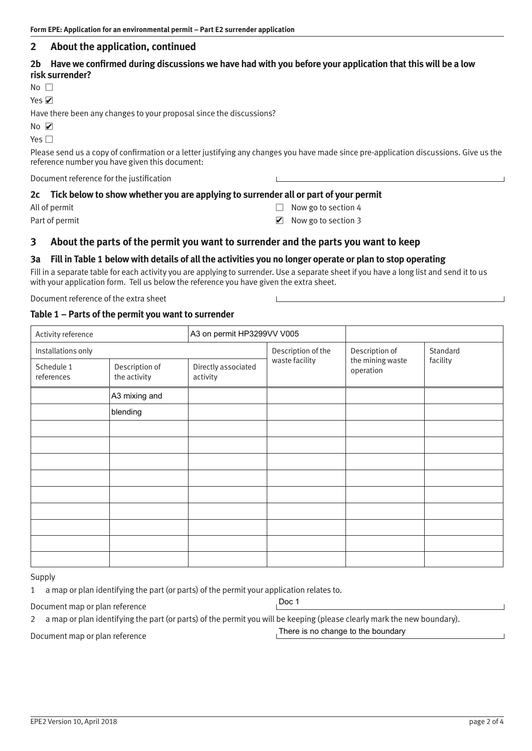# <span id="page-1-0"></span>**2 About the application, continued**

## 2b Have we confirmed during discussions we have had with you before your application that this will be a low **risk surrender?**

 $No \nightharpoonup$ 

#### Yes **☑**

Have there been any changes to your proposal since the discussions?

No w ✔

Yes  $\square$ 

Please send us a copy of confirmation or a letter justifying any changes you have made since pre-application discussions. Give us the reference number you have given this document:

Document reference for the justification

#### **2c Tick below to show whether you are applying to surrender all or part of your permit**

- All of permit  $\Box$  Now go to section 4
- Part of permit **Now go to section 3** Now go to section 3

# **3 About the parts of the permit you want to surrender and the parts you want to keep**

# **3a Fill in Table 1 below with details of all the activities you no longer operate or plan to stop operating**

Fill in a separate table for each activity you are applying to surrender. Use a separate sheet if you have a long list and send it to us with your application form. Tell us below the reference you have given the extra sheet.

Document reference of the extra sheet

#### **Table 1 – Parts of the permit you want to surrender**

| Activity reference       | A3 on permit HP3299VV V005     |                                 |                |                               |          |
|--------------------------|--------------------------------|---------------------------------|----------------|-------------------------------|----------|
| Installations only       |                                | Description of the              | Description of | Standard                      |          |
| Schedule 1<br>references | Description of<br>the activity | Directly associated<br>activity | waste facility | the mining waste<br>operation | facility |
|                          | A3 mixing and                  |                                 |                |                               |          |
|                          | blending                       |                                 |                |                               |          |
|                          |                                |                                 |                |                               |          |
|                          |                                |                                 |                |                               |          |
|                          |                                |                                 |                |                               |          |
|                          |                                |                                 |                |                               |          |
|                          |                                |                                 |                |                               |          |
|                          |                                |                                 |                |                               |          |
|                          |                                |                                 |                |                               |          |
|                          |                                |                                 |                |                               |          |
|                          |                                |                                 |                |                               |          |

Supply

1 a map or plan identifying the part (or parts) of the permit your application relates to.

Document map or plan reference

Doc 1

2 a map or plan identifying the part (or parts) of the permit you will be keeping (please clearly mark the new boundary).

Document map or plan reference

There is no change to the boundary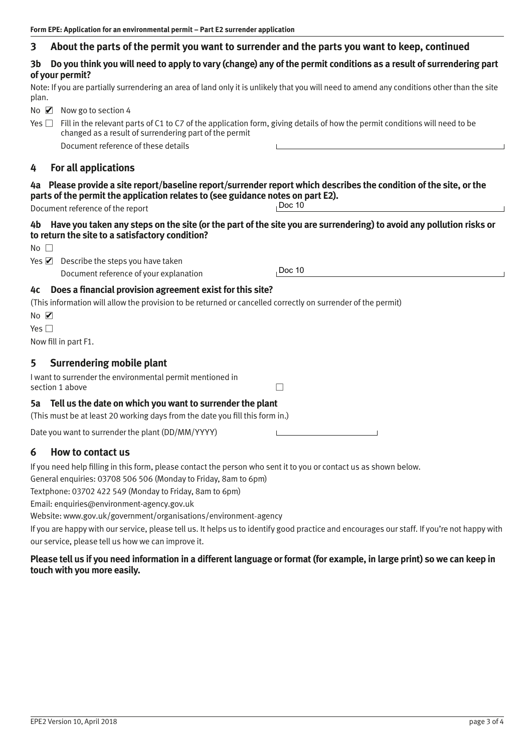# <span id="page-2-0"></span>**3 About the parts of the permit you want to surrender and the parts you want to keep, continued**

# **3b Do you think you will need to apply to vary (change) any of the permit conditions as a result of surrendering part of your permit?**

Note: If you are partially surrendering an area of land only it is unlikely that you will need to amend any conditions other than the site plan.

No  $\triangleright$  Now go to section 4

Yes  $\Box$  Fill in the relevant parts of C1 to C7 of the application form, giving details of how the permit conditions will need to be changed as a result of surrendering part of the permit

Document reference of these details

# **4 For all applications**

**4a Please provide a site report/baseline report/surrender report which describes the condition of the site, or the parts of the permit the application relates to (see guidance notes on part E2).** Doc  $10$ 

Document reference of the report

# **4b Have you taken any steps on the site (or the part of the site you are surrendering) to avoid any pollution risks or to return the site to a satisfactory condition?**

 $No \nightharpoonup$ 

Yes  $\blacksquare$  Describe the steps you have taken

Document reference of your explanation

Doc 10

# **4c Does a financial provision agreement exist for this site?**

- (This information will allow the provision to be returned or cancelled correctly on surrender of the permit)
- No w ✔

 $Yes \Box$ 

Now fill in part F1.

# **5 Surrendering mobile plant**

I want to surrender the environmental permit mentioned in section 1 above which is a section 1 above which is a section of  $\Box$ 

#### **5a Tell us the date on which you want to surrender the plant**

(This must be at least 20 working days from the date you fill this form in.)

Date you want to surrender the plant (DD/MM/YYYY)

#### **6 How to contact us**

If you need help filling in this form, please contact the person who sent it to you or contact us as shown below.

General enquiries: 03708 506 506 (Monday to Friday, 8am to 6pm)

Textphone: 03702 422 549 (Monday to Friday, 8am to 6pm)

Email: [enquiries@environment-agency.gov.uk](mailto:enquiries@environment-agency.gov.uk) 

Website: [www.gov.uk/government/organisations/environment](http://www.gov.uk/government/organisations/environment-agency)-agency

If you are happy with our service, please tell us. It helps us to identify good practice and encourages our staff. If you're not happy with our service, please tell us how we can improve it.

# Please tell us if you need information in a different language or format (for example, in large print) so we can keep in **touch with you more easily.**